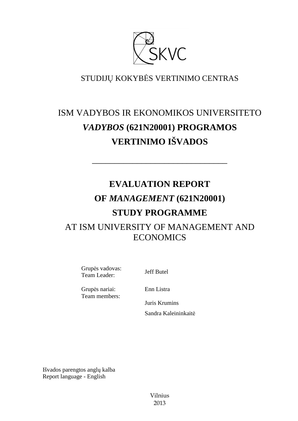

# STUDIJŲ KOKYBĖS VERTINIMO CENTRAS

# ISM VADYBOS IR EKONOMIKOS UNIVERSITETO *VADYBOS* **(621N20001) PROGRAMOS VERTINIMO IŠVADOS**

––––––––––––––––––––––––––––––

# **EVALUATION REPORT OF** *MANAGEMENT* **(621N20001) STUDY PROGRAMME**  AT ISM UNIVERSITY OF MANAGEMENT AND **ECONOMICS**

Grupės vadovas: Grupes vadovas:<br>Team Leader: Jeff Butel

Grupės nariai: Team members: Enn Listra

Juris Krumins Sandra Kaleininkaitė

Išvados parengtos anglų kalba Report language - English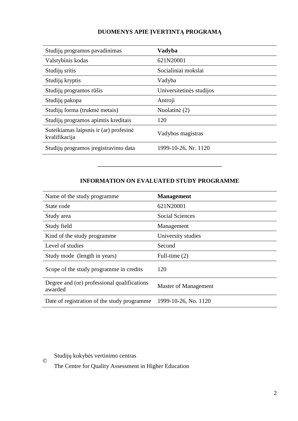# **DUOMENYS APIE ĮVERTINTĄ PROGRAMĄ**

| Studijų programos pavadinimas                           | Vadyba                   |
|---------------------------------------------------------|--------------------------|
| Valstybinis kodas                                       | 621N20001                |
| Studijų sritis                                          | Socialiniai mokslai      |
| Studijų kryptis                                         | Vadyba                   |
| Studijų programos rūšis                                 | Universitetinės studijos |
| Studijų pakopa                                          | Antroji                  |
| Studijų forma (trukmė metais)                           | Nuolatinė (2)            |
| Studijų programos apimtis kreditais                     | 120                      |
| Suteikiamas laipsnis ir (ar) profesinė<br>kvalifikacija | Vadybos magistras        |
| Studijų programos įregistravimo data                    | 1999-10-26, Nr. 1120     |

# **INFORMATION ON EVALUATED STUDY PROGRAMME**

–––––––––––––––––––––––––––––––

| Name of the study programme.                           | <b>Management</b>    |
|--------------------------------------------------------|----------------------|
| State code                                             | 621N20001            |
| Study area                                             | Social Sciences      |
| Study field                                            | Management           |
| Kind of the study programme                            | University studies   |
| Level of studies                                       | Second               |
| Study mode (length in years)                           | Full-time $(2)$      |
| Scope of the study programme in credits                | 120                  |
| Degree and (or) professional qualifications<br>awarded | Master of Management |
| Date of registration of the study programme            | 1999-10-26, No. 1120 |

Studijų kokybės vertinimo centras

©

The Centre for Quality Assessment in Higher Education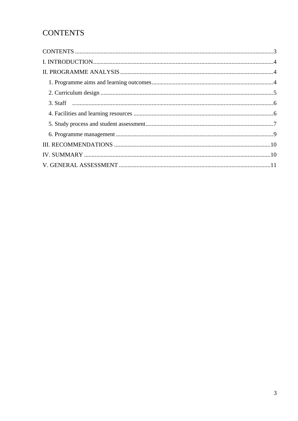# **CONTENTS**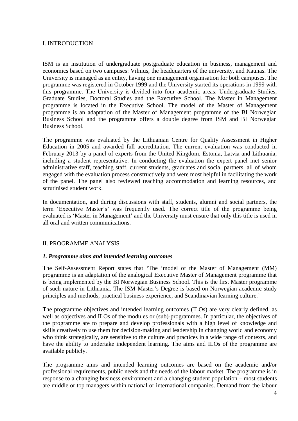### I. INTRODUCTION

ISM is an institution of undergraduate postgraduate education in business, management and economics based on two campuses: Vilnius, the headquarters of the university, and Kaunas. The University is managed as an entity, having one management organisation for both campuses. The programme was registered in October 1999 and the University started its operations in 1999 with this programme. The University is divided into four academic areas: Undergraduate Studies, Graduate Studies, Doctoral Studies and the Executive School. The Master in Management programme is located in the Executive School. The model of the Master of Management programme is an adaptation of the Master of Management programme of the BI Norwegian Business School and the programme offers a double degree from ISM and BI Norwegian Business School.

The programme was evaluated by the Lithuanian Centre for Quality Assessment in Higher Education in 2005 and awarded full accreditation. The current evaluation was conducted in February 2013 by a panel of experts from the United Kingdom, Estonia, Latvia and Lithuania, including a student representative. In conducting the evaluation the expert panel met senior administrative staff, teaching staff, current students, graduates and social partners, all of whom engaged with the evaluation process constructively and were most helpful in facilitating the work of the panel. The panel also reviewed teaching accommodation and learning resources, and scrutinised student work.

In documentation, and during discussions with staff, students, alumni and social partners, the term 'Executive Master's' was frequently used. The correct title of the programme being evaluated is 'Master in Management' and the University must ensure that only this title is used in all oral and written communications.

#### II. PROGRAMME ANALYSIS

#### *1. Programme aims and intended learning outcomes*

The Self-Assessment Report states that 'The 'model of the Master of Management (MM) programme is an adaptation of the analogical Executive Master of Management programme that is being implemented by the BI Norwegian Business School. This is the first Master programme of such nature in Lithuania. The ISM Master's Degree is based on Norwegian academic study principles and methods, practical business experience, and Scandinavian learning culture.'

The programme objectives and intended learning outcomes (ILOs) are very clearly defined, as well as objectives and ILOs of the modules or (sub)-programmes. In particular, the objectives of the programme are to prepare and develop professionals with a high level of knowledge and skills creatively to use them for decision-making and leadership in changing world and economy who think strategically, are sensitive to the culture and practices in a wide range of contexts, and have the ability to undertake independent learning. The aims and ILOs of the programme are available publicly.

The programme aims and intended learning outcomes are based on the academic and/or professional requirements, public needs and the needs of the labour market. The programme is in response to a changing business environment and a changing student population – most students are middle or top managers within national or international companies. Demand from the labour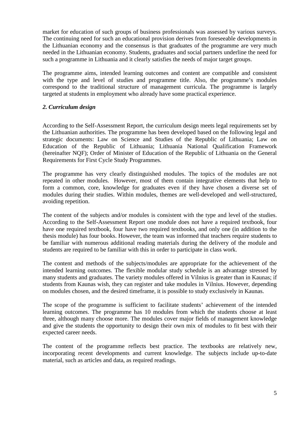market for education of such groups of business professionals was assessed by various surveys. The continuing need for such an educational provision derives from foreseeable developments in the Lithuanian economy and the consensus is that graduates of the programme are very much needed in the Lithuanian economy. Students, graduates and social partners underline the need for such a programme in Lithuania and it clearly satisfies the needs of major target groups.

The programme aims, intended learning outcomes and content are compatible and consistent with the type and level of studies and programme title. Also, the programme's modules correspond to the traditional structure of management curricula. The programme is largely targeted at students in employment who already have some practical experience.

## *2. Curriculum design*

According to the Self-Assessment Report, the curriculum design meets legal requirements set by the Lithuanian authorities. The programme has been developed based on the following legal and strategic documents: Law on Science and Studies of the Republic of Lithuania; Law on Education of the Republic of Lithuania; Lithuania National Qualification Framework (hereinafter NQF); Order of Minister of Education of the Republic of Lithuania on the General Requirements for First Cycle Study Programmes.

The programme has very clearly distinguished modules. The topics of the modules are not repeated in other modules. However, most of them contain integrative elements that help to form a common, core, knowledge for graduates even if they have chosen a diverse set of modules during their studies. Within modules, themes are well-developed and well-structured, avoiding repetition.

The content of the subjects and/or modules is consistent with the type and level of the studies. According to the Self-Assessment Report one module does not have a required textbook, four have one required textbook, four have two required textbooks, and only one (in addition to the thesis module) has four books. However, the team was informed that teachers require students to be familiar with numerous additional reading materials during the delivery of the module and students are required to be familiar with this in order to participate in class work.

The content and methods of the subjects/modules are appropriate for the achievement of the intended learning outcomes. The flexible modular study schedule is an advantage stressed by many students and graduates. The variety modules offered in Vilnius is greater than in Kaunas; if students from Kaunas wish, they can register and take modules in Vilnius. However, depending on modules chosen, and the desired timeframe, it is possible to study exclusively in Kaunas.

The scope of the programme is sufficient to facilitate students' achievement of the intended learning outcomes. The programme has 10 modules from which the students choose at least three, although many choose more. The modules cover major fields of management knowledge and give the students the opportunity to design their own mix of modules to fit best with their expected career needs.

The content of the programme reflects best practice. The textbooks are relatively new, incorporating recent developments and current knowledge. The subjects include up-to-date material, such as articles and data, as required readings.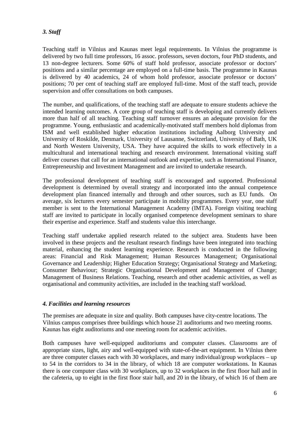# *3. Staff*

Teaching staff in Vilnius and Kaunas meet legal requirements. In Vilnius the programme is delivered by two full time professors, 16 assoc. professors, seven doctors, four PhD students, and 13 non-degree lecturers. Some 60% of staff hold professor, associate professor or doctors' positions and a similar percentage are employed on a full-time basis. The programme in Kaunas is delivered by 40 academics, 24 of whom hold professor, associate professor or doctors' positions; 70 per cent of teaching staff are employed full-time. Most of the staff teach, provide supervision and offer consultations on both campuses.

The number, and qualifications, of the teaching staff are adequate to ensure students achieve the intended learning outcomes. A core group of teaching staff is developing and currently delivers more than half of all teaching. Teaching staff turnover ensures an adequate provision for the programme. Young, enthusiastic and academically-motivated staff members hold diplomas from ISM and well established higher education institutions including Aalborg University and University of Roskilde, Denmark, University of Lausanne, Switzerland, University of Bath, UK and North Western University, USA. They have acquired the skills to work effectively in a multicultural and international teaching and research environment. International visiting staff deliver courses that call for an international outlook and expertise, such as International Finance, Entrepreneurship and Investment Management and are invited to undertake research.

The professional development of teaching staff is encouraged and supported. Professional development is determined by overall strategy and incorporated into the annual competence development plan financed internally and through and other sources, such as EU funds. On average, six lecturers every semester participate in mobility programmes. Every year, one staff member is sent to the International Management Academy (IMTA). Foreign visiting teaching staff are invited to participate in locally organised competence development seminars to share their expertise and experience. Staff and students value this interchange.

Teaching staff undertake applied research related to the subject area. Students have been involved in these projects and the resultant research findings have been integrated into teaching material, enhancing the student learning experience. Research is conducted in the following areas: Financial and Risk Management; Human Resources Management; Organisational Governance and Leadership; Higher Education Strategy; Organisational Strategy and Marketing; Consumer Behaviour; Strategic Organisational Development and Management of Change; Management of Business Relations. Teaching, research and other academic activities, as well as organisational and community activities, are included in the teaching staff workload.

## *4. Facilities and learning resources*

The premises are adequate in size and quality. Both campuses have city-centre locations. The Vilnius campus comprises three buildings which house 21 auditoriums and two meeting rooms. Kaunas has eight auditoriums and one meeting room for academic activities.

Both campuses have well-equipped auditoriums and computer classes. Classrooms are of appropriate sizes, light, airy and well-equipped with state-of-the-art equipment. In Vilnius there are three computer classes each with 30 workplaces, and many individual/group workplaces – up to 54 in the corridors to 34 in the library, of which 18 are computer workstations. In Kaunas there is one computer class with 30 workplaces, up to 32 workplaces in the first floor hall and in the cafeteria, up to eight in the first floor stair hall, and 20 in the library, of which 16 of them are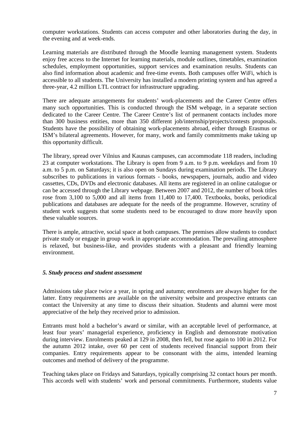computer workstations. Students can access computer and other laboratories during the day, in the evening and at week-ends.

Learning materials are distributed through the Moodle learning management system. Students enjoy free access to the Internet for learning materials, module outlines, timetables, examination schedules, employment opportunities, support services and examination results. Students can also find information about academic and free-time events. Both campuses offer WiFi, which is accessible to all students. The University has installed a modern printing system and has agreed a three-year, 4.2 million LTL contract for infrastructure upgrading.

There are adequate arrangements for students' work-placements and the Career Centre offers many such opportunities. This is conducted through the ISM webpage, in a separate section dedicated to the Career Centre. The Career Centre's list of permanent contacts includes more than 300 business entities, more than 350 different job/internship/projects/contests proposals. Students have the possibility of obtaining work-placements abroad, either through Erasmus or ISM's bilateral agreements. However, for many, work and family commitments make taking up this opportunity difficult.

The library, spread over Vilnius and Kaunas campuses, can accommodate 118 readers, including 23 at computer workstations. The Library is open from 9 a.m. to 9 p.m. weekdays and from 10 a.m. to 5 p.m. on Saturdays; it is also open on Sundays during examination periods. The Library subscribes to publications in various formats - books, newspapers, journals, audio and video cassettes, CDs, DVDs and electronic databases. All items are registered in an online catalogue or can be accessed through the Library webpage. Between 2007 and 2012, the number of book titles rose from 3,100 to 5,000 and all items from 11,400 to 17,400. Textbooks, books, periodical publications and databases are adequate for the needs of the programme. However, scrutiny of student work suggests that some students need to be encouraged to draw more heavily upon these valuable sources.

There is ample, attractive, social space at both campuses. The premises allow students to conduct private study or engage in group work in appropriate accommodation. The prevailing atmosphere is relaxed, but business-like, and provides students with a pleasant and friendly learning environment.

#### *5. Study process and student assessment*

Admissions take place twice a year, in spring and autumn; enrolments are always higher for the latter. Entry requirements are available on the university website and prospective entrants can contact the University at any time to discuss their situation. Students and alumni were most appreciative of the help they received prior to admission.

Entrants must hold a bachelor's award or similar, with an acceptable level of performance, at least four years' managerial experience, proficiency in English and demonstrate motivation during interview. Enrolments peaked at 129 in 2008, then fell, but rose again to 100 in 2012. For the autumn 2012 intake, over 60 per cent of students received financial support from their companies. Entry requirements appear to be consonant with the aims, intended learning outcomes and method of delivery of the programme.

Teaching takes place on Fridays and Saturdays, typically comprising 32 contact hours per month. This accords well with students' work and personal commitments. Furthermore, students value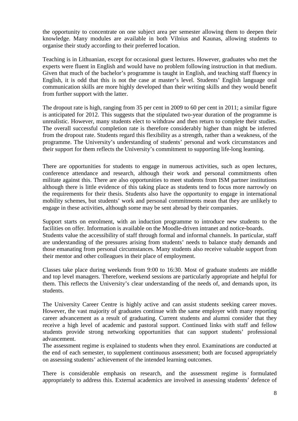the opportunity to concentrate on one subject area per semester allowing them to deepen their knowledge. Many modules are available in both Vilnius and Kaunas, allowing students to organise their study according to their preferred location.

Teaching is in Lithuanian, except for occasional guest lectures. However, graduates who met the experts were fluent in English and would have no problem following instruction in that medium. Given that much of the bachelor's programme is taught in English, and teaching staff fluency in English, it is odd that this is not the case at master's level. Students' English language oral communication skills are more highly developed than their writing skills and they would benefit from further support with the latter.

The dropout rate is high, ranging from 35 per cent in 2009 to 60 per cent in 2011; a similar figure is anticipated for 2012. This suggests that the stipulated two-year duration of the programme is unrealistic. However, many students elect to withdraw and then return to complete their studies. The overall successful completion rate is therefore considerably higher than might be inferred from the dropout rate. Students regard this flexibility as a strength, rather than a weakness, of the programme. The University's understanding of students' personal and work circumstances and their support for them reflects the University's commitment to supporting life-long learning.

There are opportunities for students to engage in numerous activities, such as open lectures, conference attendance and research, although their work and personal commitments often militate against this. There are also opportunities to meet students from ISM partner institutions although there is little evidence of this taking place as students tend to focus more narrowly on the requirements for their thesis. Students also have the opportunity to engage in international mobility schemes, but students' work and personal commitments mean that they are unlikely to engage in these activities, although some may be sent abroad by their companies.

Support starts on enrolment, with an induction programme to introduce new students to the facilities on offer. Information is available on the Moodle-driven intranet and notice-boards. Students value the accessibility of staff through formal and informal channels. In particular, staff are understanding of the pressures arising from students' needs to balance study demands and those emanating from personal circumstances. Many students also receive valuable support from their mentor and other colleagues in their place of employment.

Classes take place during weekends from 9:00 to 16:30. Most of graduate students are middle and top level managers. Therefore, weekend sessions are particularly appropriate and helpful for them. This reflects the University's clear understanding of the needs of, and demands upon, its students.

The University Career Centre is highly active and can assist students seeking career moves. However, the vast majority of graduates continue with the same employer with many reporting career advancement as a result of graduating. Current students and alumni consider that they receive a high level of academic and pastoral support. Continued links with staff and fellow students provide strong networking opportunities that can support students' professional advancement.

The assessment regime is explained to students when they enrol. Examinations are conducted at the end of each semester, to supplement continuous assessment; both are focused appropriately on assessing students' achievement of the intended learning outcomes.

There is considerable emphasis on research, and the assessment regime is formulated appropriately to address this. External academics are involved in assessing students' defence of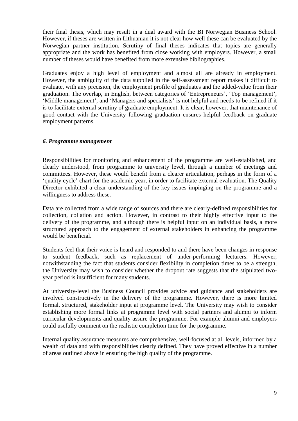their final thesis, which may result in a dual award with the BI Norwegian Business School. However, if theses are written in Lithuanian it is not clear how well these can be evaluated by the Norwegian partner institution. Scrutiny of final theses indicates that topics are generally appropriate and the work has benefited from close working with employers. However, a small number of theses would have benefited from more extensive bibliographies.

Graduates enjoy a high level of employment and almost all are already in employment. However, the ambiguity of the data supplied in the self-assessment report makes it difficult to evaluate, with any precision, the employment profile of graduates and the added-value from their graduation. The overlap, in English, between categories of 'Entrepreneurs', 'Top management', 'Middle management', and 'Managers and specialists' is not helpful and needs to be refined if it is to facilitate external scrutiny of graduate employment. It is clear, however, that maintenance of good contact with the University following graduation ensures helpful feedback on graduate employment patterns.

## *6. Programme management*

Responsibilities for monitoring and enhancement of the programme are well-established, and clearly understood, from programme to university level, through a number of meetings and committees. However, these would benefit from a clearer articulation, perhaps in the form of a 'quality cycle' chart for the academic year, in order to facilitate external evaluation. The Quality Director exhibited a clear understanding of the key issues impinging on the programme and a willingness to address these.

Data are collected from a wide range of sources and there are clearly-defined responsibilities for collection, collation and action. However, in contrast to their highly effective input to the delivery of the programme, and although there is helpful input on an individual basis, a more structured approach to the engagement of external stakeholders in enhancing the programme would be beneficial.

Students feel that their voice is heard and responded to and there have been changes in response to student feedback, such as replacement of under-performing lecturers. However, notwithstanding the fact that students consider flexibility in completion times to be a strength, the University may wish to consider whether the dropout rate suggests that the stipulated twoyear period is insufficient for many students.

At university-level the Business Council provides advice and guidance and stakeholders are involved constructively in the delivery of the programme. However, there is more limited formal, structured, stakeholder input at programme level. The University may wish to consider establishing more formal links at programme level with social partners and alumni to inform curricular developments and quality assure the programme. For example alumni and employers could usefully comment on the realistic completion time for the programme.

Internal quality assurance measures are comprehensive, well-focused at all levels, informed by a wealth of data and with responsibilities clearly defined. They have proved effective in a number of areas outlined above in ensuring the high quality of the programme.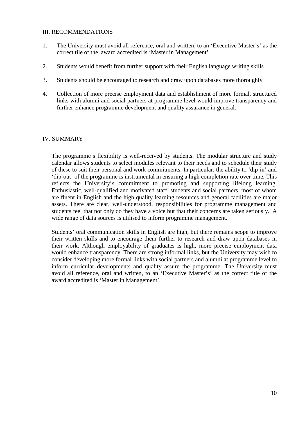### III. RECOMMENDATIONS

- 1. The University must avoid all reference, oral and written, to an 'Executive Master's' as the correct tile of the award accredited is 'Master in Management'
- 2. Students would benefit from further support with their English language writing skills
- 3. Students should be encouraged to research and draw upon databases more thoroughly
- 4. Collection of more precise employment data and establishment of more formal, structured links with alumni and social partners at programme level would improve transparency and further enhance programme development and quality assurance in general.

### IV. SUMMARY

The programme's flexibility is well-received by students. The modular structure and study calendar allows students to select modules relevant to their needs and to schedule their study of these to suit their personal and work commitments. In particular, the ability to 'dip-in' and 'dip-out' of the programme is instrumental in ensuring a high completion rate over time. This reflects the University's commitment to promoting and supporting lifelong learning. Enthusiastic, well-qualified and motivated staff, students and social partners, most of whom are fluent in English and the high quality learning resources and general facilities are major assets. There are clear, well-understood, responsibilities for programme management and students feel that not only do they have a voice but that their concerns are taken seriously. A wide range of data sources is utilised to inform programme management.

Students' oral communication skills in English are high, but there remains scope to improve their written skills and to encourage them further to research and draw upon databases in their work. Although employability of graduates is high, more precise employment data would enhance transparency. There are strong informal links, but the University may wish to consider developing more formal links with social partners and alumni at programme level to inform curricular developments and quality assure the programme. The University must avoid all reference, oral and written, to an 'Executive Master's' as the correct title of the award accredited is 'Master in Management'.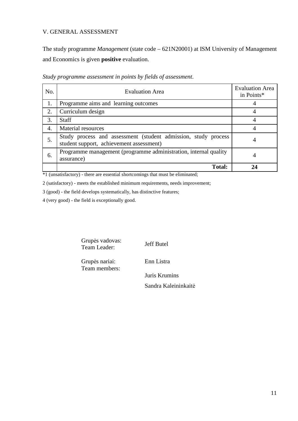# V. GENERAL ASSESSMENT

The study programme *Management* (state code – 621N20001) at ISM University of Management and Economics is given **positive** evaluation.

| No. | <b>Evaluation Area</b>                                                                                     | <b>Evaluation Area</b><br>in Points* |
|-----|------------------------------------------------------------------------------------------------------------|--------------------------------------|
| 1.  | Programme aims and learning outcomes                                                                       |                                      |
| 2.  | Curriculum design                                                                                          |                                      |
| 3.  | <b>Staff</b>                                                                                               |                                      |
| 4.  | Material resources                                                                                         |                                      |
| 5.  | Study process and assessment (student admission, study process<br>student support, achievement assessment) |                                      |
| 6.  | Programme management (programme administration, internal quality<br>assurance)                             | 4                                    |
|     | <b>Total:</b>                                                                                              |                                      |

*Study programme assessment in points by fields of assessment*.

\*1 (unsatisfactory) - there are essential shortcomings that must be eliminated;

2 (satisfactory) - meets the established minimum requirements, needs improvement;

3 (good) - the field develops systematically, has distinctive features;

4 (very good) - the field is exceptionally good.

Grupės vadovas: Grupes vadovas:<br>Team Leader: Jeff Butel

Grupės nariai: Team members: Enn Listra

Juris Krumins

Sandra Kaleininkaitė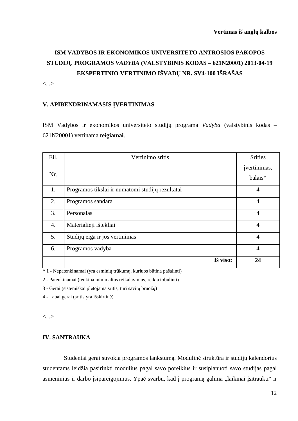# **ISM VADYBOS IR EKONOMIKOS UNIVERSITETO ANTROSIOS PAKOPOS STUDIJŲ PROGRAMOS** *VADYBA* **(VALSTYBINIS KODAS – 621N20001) 2013-04-19 EKSPERTINIO VERTINIMO IŠVADŲ NR. SV4-100 IŠRAŠAS**

<...>

### **V. APIBENDRINAMASIS ĮVERTINIMAS**

ISM Vadybos ir ekonomikos universiteto studijų programa *Vadyba* (valstybinis kodas – 621N20001) vertinama **teigiamai**.

| Eil.             | Vertinimo sritis                                 | <b>Srities</b>          |
|------------------|--------------------------------------------------|-------------------------|
| Nr.              |                                                  | jvertinimas,<br>balais* |
| 1.               | Programos tikslai ir numatomi studijų rezultatai | $\overline{4}$          |
| 2.               | Programos sandara                                | $\overline{4}$          |
| 3.               | Personalas                                       | $\overline{4}$          |
| $\overline{4}$ . | Materialieji ištekliai                           | $\overline{4}$          |
| 5.               | Studijų eiga ir jos vertinimas                   | $\overline{4}$          |
| 6.               | Programos vadyba                                 | $\overline{4}$          |
|                  | Iš viso:                                         | 24                      |

\* 1 - Nepatenkinamai (yra esminių trūkumų, kuriuos būtina pašalinti)

2 - Patenkinamai (tenkina minimalius reikalavimus, reikia tobulinti)

3 - Gerai (sistemiškai plėtojama sritis, turi savitų bruožų)

4 - Labai gerai (sritis yra išskirtinė)

<...>

#### **IV. SANTRAUKA**

Studentai gerai suvokia programos lankstumą. Modulinė struktūra ir studijų kalendorius studentams leidžia pasirinkti modulius pagal savo poreikius ir susiplanuoti savo studijas pagal asmeninius ir darbo įsipareigojimus. Ypač svarbu, kad į programą galima "laikinai įsitraukti" ir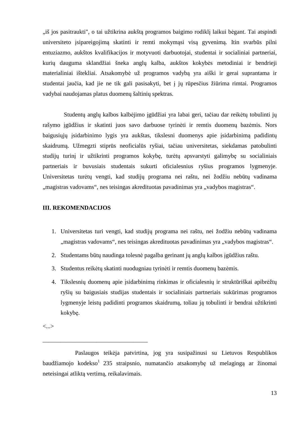iš jos pasitraukti", o tai užtikrina aukštą programos baigimo rodiklį laikui bėgant. Tai atspindi universiteto įsipareigojimą skatinti ir remti mokymąsi visą gyvenimą. Itin svarbūs pilni entuziazmo, aukštos kvalifikacijos ir motyvuoti darbuotojai, studentai ir socialiniai partneriai, kurių dauguma sklandžiai šneka anglų kalba, aukštos kokybės metodiniai ir bendrieji materialiniai ištekliai. Atsakomybė už programos vadybą yra aiški ir gerai suprantama ir studentai jaučia, kad jie ne tik gali pasisakyti, bet į jų rūpesčius žiūrima rimtai. Programos vadybai naudojamas platus duomenų šaltinių spektras.

Studentų anglų kalbos kalbėjimo įgūdžiai yra labai geri, tačiau dar reikėtų tobulinti jų rašymo įgūdžius ir skatinti juos savo darbuose tyrinėti ir remtis duomenų bazėmis. Nors baigusiųjų įsidarbinimo lygis yra aukštas, tikslesni duomenys apie įsidarbinimą padidintų skaidrumą. Užmegzti stiprūs neoficialūs ryšiai, tačiau universitetas, siekdamas patobulinti studijų turinį ir užtikrinti programos kokybę, turėtų apsvarstyti galimybę su socialiniais partneriais ir buvusiais studentais sukurti oficialesnius ryšius programos lygmenyje. Universitetas turėtų vengti, kad studijų programa nei raštu, nei žodžiu nebūtų vadinama ", magistras vadovams", nes teisingas akredituotas pavadinimas yra "vadybos magistras".

#### **III. REKOMENDACIJOS**

\_\_\_\_\_\_\_\_\_\_\_\_\_\_\_\_\_\_\_\_\_\_\_\_\_\_\_\_\_\_\_\_\_\_\_

- 1. Universitetas turi vengti, kad studijų programa nei raštu, nei žodžiu nebūtų vadinama ", magistras vadovams", nes teisingas akredituotas pavadinimas yra "vadybos magistras".
- 2. Studentams būtų naudinga tolesnė pagalba gerinant jų anglų kalbos įgūdžius raštu.
- 3. Studentus reikėtų skatinti nuodugniau tyrinėti ir remtis duomenų bazėmis.
- 4. Tikslesnių duomenų apie įsidarbinimą rinkimas ir oficialesnių ir struktūriškai apibrėžtų ryšių su baigusiais studijas studentais ir socialiniais partneriais sukūrimas programos lygmenyje leistų padidinti programos skaidrumą, toliau ją tobulinti ir bendrai užtikrinti kokybę.

<...>

Paslaugos teikėja patvirtina, jog yra susipažinusi su Lietuvos Respublikos baudžiamojo kodekso<sup>1</sup> 235 straipsnio, numatančio atsakomybę už melagingą ar žinomai neteisingai atliktą vertimą, reikalavimais.